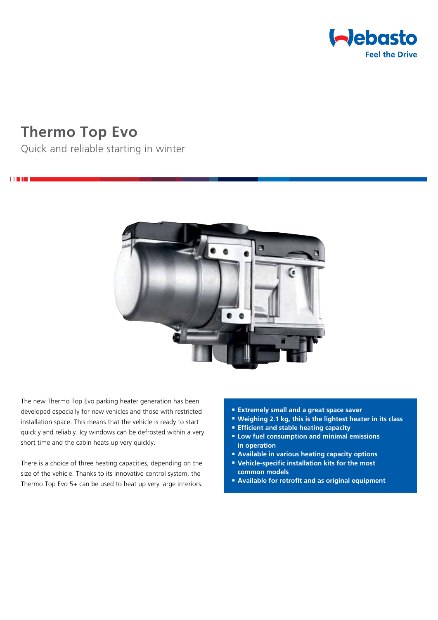

# **Thermo Top Evo**

<u>ii Eilini</u>

Quick and reliable starting in winter



The new Thermo Top Evo parking heater generation has been developed especially for new vehicles and those with restricted installation space. This means that the vehicle is ready to start quickly and reliably. Icy windows can be defrosted within a very short time and the cabin heats up very quickly.

There is a choice of three heating capacities, depending on the size of the vehicle. Thanks to its innovative control system, the Thermo Top Evo 5+ can be used to heat up very large interiors.

- **Extremely small and a great space saver**
- **Weighing 2.1 kg, this is the lightest heater in its class**
- **Efficient and stable heating capacity**
- **Low fuel consumption and minimal emissions in operation**
- **Available in various heating capacity options**
- **Vehicle-specific installation kits for the most common models**
- **Available for retrofit and as original equipment**